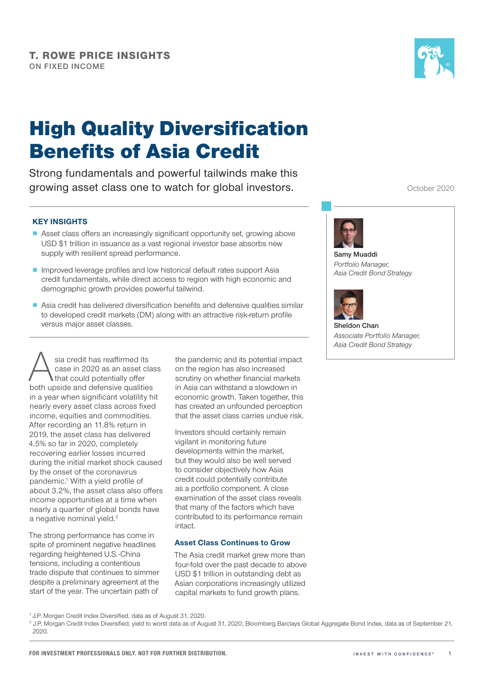

# High Quality Diversification Benefits of Asia Credit

Strong fundamentals and powerful tailwinds make this growing asset class one to watch for global investors.

October 2020

# KEY INSIGHTS

- Asset class offers an increasingly significant opportunity set, growing above USD \$1 trillion in issuance as a vast regional investor base absorbs new supply with resilient spread performance.
- Improved leverage profiles and low historical default rates support Asia credit fundamentals, while direct access to region with high economic and demographic growth provides powerful tailwind.
- Asia credit has delivered diversification benefits and defensive qualities similar to developed credit markets (DM) along with an attractive risk-return profile versus major asset classes.

Sia credit has reaffirmed its<br>
case in 2020 as an asset clas<br>
both upside and defensive qualities case in 2020 as an asset class that could potentially offer in a year when significant volatility hit nearly every asset class across fixed income, equities and commodities. After recording an 11.8% return in 2019, the asset class has delivered 4.5% so far in 2020, completely recovering earlier losses incurred during the initial market shock caused by the onset of the coronavirus pandemic.1 With a yield profile of about 3.2%, the asset class also offers income opportunities at a time when nearly a quarter of global bonds have a negative nominal yield.<sup>2</sup>

The strong performance has come in spite of prominent negative headlines regarding heightened U.S.-China tensions, including a contentious trade dispute that continues to simmer despite a preliminary agreement at the start of the year. The uncertain path of

the pandemic and its potential impact on the region has also increased scrutiny on whether financial markets in Asia can withstand a slowdown in economic growth. Taken together, this has created an unfounded perception that the asset class carries undue risk.

Investors should certainly remain vigilant in monitoring future developments within the market, but they would also be well served to consider objectively how Asia credit could potentially contribute as a portfolio component. A close examination of the asset class reveals that many of the factors which have contributed to its performance remain intact.

# Asset Class Continues to Grow

The Asia credit market grew more than four-fold over the past decade to above USD \$1 trillion in outstanding debt as Asian corporations increasingly utilized capital markets to fund growth plans.



Samy Muaddi *Portfolio Manager, Asia Credit Bond Strategy*



Sheldon Chan *Associate Portfolio Manager, Asia Credit Bond Strategy*

<sup>2</sup> J.P. Morgan Credit Index Diversified, yield to worst data as of August 31, 2020; Bloomberg Barclays Global Aggregate Bond Index, data as of September 21, 2020.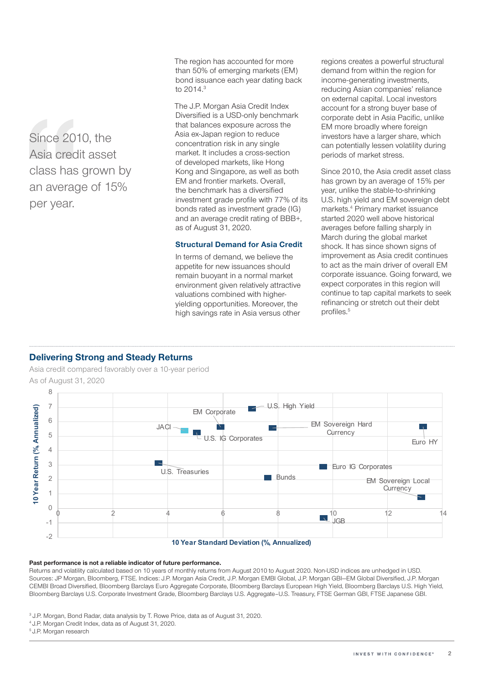Since 2010, the Asia credit asset class has grown by an average of 15% per year.

The region has accounted for more than 50% of emerging markets (EM) bond issuance each year dating back to 2014.3

The J.P. Morgan Asia Credit Index Diversified is a USD-only benchmark that balances exposure across the Asia ex-Japan region to reduce concentration risk in any single market. It includes a cross-section of developed markets, like Hong Kong and Singapore, as well as both EM and frontier markets. Overall, the benchmark has a diversified investment grade profile with 77% of its bonds rated as investment grade (IG) and an average credit rating of BBB+, as of August 31, 2020.

# Structural Demand for Asia Credit

In terms of demand, we believe the appetite for new issuances should remain buoyant in a normal market environment given relatively attractive valuations combined with higheryielding opportunities. Moreover, the high savings rate in Asia versus other

regions creates a powerful structural demand from within the region for income-generating investments, reducing Asian companies' reliance on external capital. Local investors account for a strong buyer base of corporate debt in Asia Pacific, unlike EM more broadly where foreign investors have a larger share, which can potentially lessen volatility during periods of market stress.

Since 2010, the Asia credit asset class has grown by an average of 15% per year, unlike the stable-to-shrinking U.S. high yield and EM sovereign debt markets.4 Primary market issuance started 2020 well above historical averages before falling sharply in March during the global market shock. It has since shown signs of improvement as Asia credit continues to act as the main driver of overall EM corporate issuance. Going forward, we expect corporates in this region will continue to tap capital markets to seek refinancing or stretch out their debt profiles.<sup>5</sup>

# Delivering Strong and Steady Returns

Asia credit compared favorably over a 10-year period As of August 31, 2020



#### Past performance is not a reliable indicator of future performance.

Returns and volatility calculated based on 10 years of monthly returns from August 2010 to August 2020. Non-USD indices are unhedged in USD. Sources: JP Morgan, Bloomberg, FTSE. Indices: J.P. Morgan Asia Credit, J.P. Morgan EMBI Global, J.P. Morgan GBI—EM Global Diversified, J.P. Morgan CEMBI Broad Diversified, Bloomberg Barclays Euro Aggregate Corporate, Bloomberg Barclays European High Yield, Bloomberg Barclays U.S. High Yield, Bloomberg Barclays U.S. Corporate Investment Grade, Bloomberg Barclays U.S. Aggregate–U.S. Treasury, FTSE German GBI, FTSE Japanese GBI.

- <sup>3</sup> J.P. Morgan, Bond Radar, data analysis by T. Rowe Price, data as of August 31, 2020.
- 4 J.P. Morgan Credit Index, data as of August 31, 2020.
- 5 J.P. Morgan research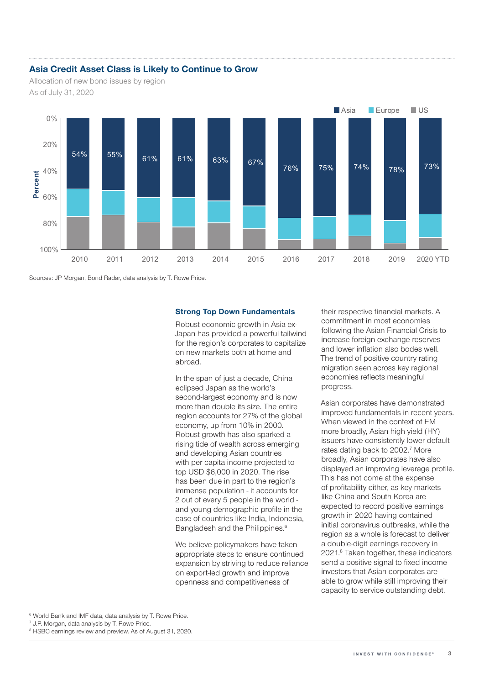# Asia Credit Asset Class is Likely to Continue to Grow

Allocation of new bond issues by region As of July 31, 2020



Sources: JP Morgan, Bond Radar, data analysis by T. Rowe Price.

#### Strong Top Down Fundamentals

Robust economic growth in Asia ex-Japan has provided a powerful tailwind for the region's corporates to capitalize on new markets both at home and abroad.

In the span of just a decade, China eclipsed Japan as the world's second-largest economy and is now more than double its size. The entire region accounts for 27% of the global economy, up from 10% in 2000. Robust growth has also sparked a rising tide of wealth across emerging and developing Asian countries with per capita income projected to top USD \$6,000 in 2020. The rise has been due in part to the region's immense population - it accounts for 2 out of every 5 people in the world and young demographic profile in the case of countries like India, Indonesia, Bangladesh and the Philippines.<sup>6</sup>

We believe policymakers have taken appropriate steps to ensure continued expansion by striving to reduce reliance on export-led growth and improve openness and competitiveness of

their respective financial markets. A commitment in most economies following the Asian Financial Crisis to increase foreign exchange reserves and lower inflation also bodes well. The trend of positive country rating migration seen across key regional economies reflects meaningful progress.

Asian corporates have demonstrated improved fundamentals in recent years. When viewed in the context of EM more broadly, Asian high yield (HY) issuers have consistently lower default rates dating back to 2002.<sup>7</sup> More broadly, Asian corporates have also displayed an improving leverage profile. This has not come at the expense of profitability either, as key markets like China and South Korea are expected to record positive earnings growth in 2020 having contained initial coronavirus outbreaks, while the region as a whole is forecast to deliver a double-digit earnings recovery in 2021.8 Taken together, these indicators send a positive signal to fixed income investors that Asian corporates are able to grow while still improving their capacity to service outstanding debt.

6 World Bank and IMF data, data analysis by T. Rowe Price.

7 J.P. Morgan, data analysis by T. Rowe Price.

<sup>8</sup> HSBC earnings review and preview. As of August 31, 2020.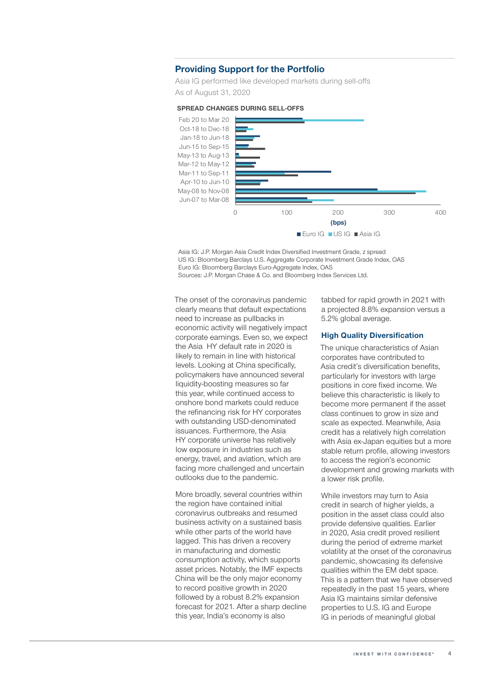# Providing Support for the Portfolio

Asia IG performed like developed markets during sell-offs As of August 31, 2020



SPREAD CHANGES DURING SELL-OFFS

Asia IG: J.P. Morgan Asia Credit Index Diversified Investment Grade, z spread US IG: Bloomberg Barclays U.S. Aggregate Corporate Investment Grade Index, OAS Euro IG: Bloomberg Barclays Euro-Aggregate Index, OAS Sources: J.P. Morgan Chase & Co. and Bloomberg Index Services Ltd.

The onset of the coronavirus pandemic clearly means that default expectations need to increase as pullbacks in economic activity will negatively impact corporate earnings. Even so, we expect the Asia HY default rate in 2020 is likely to remain in line with historical levels. Looking at China specifically, policymakers have announced several liquidity-boosting measures so far this year, while continued access to onshore bond markets could reduce the refinancing risk for HY corporates with outstanding USD-denominated issuances. Furthermore, the Asia HY corporate universe has relatively low exposure in industries such as energy, travel, and aviation, which are facing more challenged and uncertain outlooks due to the pandemic.

More broadly, several countries within the region have contained initial coronavirus outbreaks and resumed business activity on a sustained basis while other parts of the world have lagged. This has driven a recovery in manufacturing and domestic consumption activity, which supports asset prices. Notably, the IMF expects China will be the only major economy to record positive growth in 2020 followed by a robust 8.2% expansion forecast for 2021. After a sharp decline this year, India's economy is also

tabbed for rapid growth in 2021 with a projected 8.8% expansion versus a 5.2% global average.

### High Quality Diversification

The unique characteristics of Asian corporates have contributed to Asia credit's diversification benefits, particularly for investors with large positions in core fixed income. We believe this characteristic is likely to become more permanent if the asset class continues to grow in size and scale as expected. Meanwhile, Asia credit has a relatively high correlation with Asia ex-Japan equities but a more stable return profile, allowing investors to access the region's economic development and growing markets with a lower risk profile.

While investors may turn to Asia credit in search of higher yields, a position in the asset class could also provide defensive qualities. Earlier in 2020, Asia credit proved resilient during the period of extreme market volatility at the onset of the coronavirus pandemic, showcasing its defensive qualities within the EM debt space. This is a pattern that we have observed repeatedly in the past 15 years, where Asia IG maintains similar defensive properties to U.S. IG and Europe IG in periods of meaningful global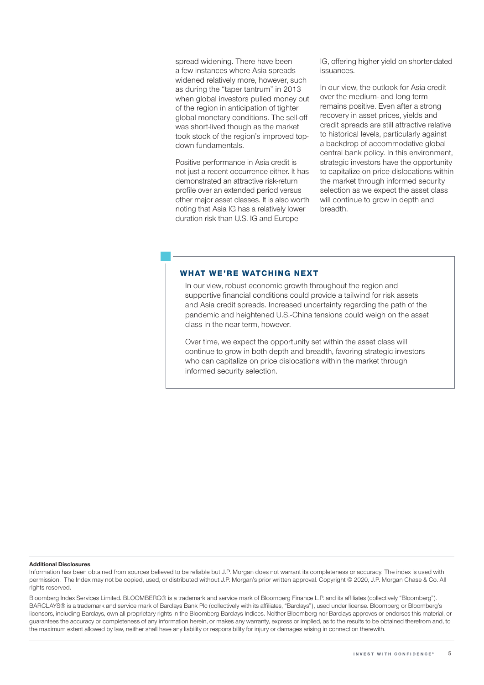spread widening. There have been a few instances where Asia spreads widened relatively more, however, such as during the "taper tantrum" in 2013 when global investors pulled money out of the region in anticipation of tighter global monetary conditions. The sell-off was short-lived though as the market took stock of the region's improved topdown fundamentals.

Positive performance in Asia credit is not just a recent occurrence either. It has demonstrated an attractive risk-return profile over an extended period versus other major asset classes. It is also worth noting that Asia IG has a relatively lower duration risk than U.S. IG and Europe

IG, offering higher yield on shorter-dated issuances.

In our view, the outlook for Asia credit over the medium- and long term remains positive. Even after a strong recovery in asset prices, yields and credit spreads are still attractive relative to historical levels, particularly against a backdrop of accommodative global central bank policy. In this environment, strategic investors have the opportunity to capitalize on price dislocations within the market through informed security selection as we expect the asset class will continue to grow in depth and breadth.

# **WHAT WE'RE WATCHING NEXT**

In our view, robust economic growth throughout the region and supportive financial conditions could provide a tailwind for risk assets and Asia credit spreads. Increased uncertainty regarding the path of the pandemic and heightened U.S.-China tensions could weigh on the asset class in the near term, however.

Over time, we expect the opportunity set within the asset class will continue to grow in both depth and breadth, favoring strategic investors who can capitalize on price dislocations within the market through informed security selection.

#### Additional Disclosures

Information has been obtained from sources believed to be reliable but J.P. Morgan does not warrant its completeness or accuracy. The index is used with permission. The Index may not be copied, used, or distributed without J.P. Morgan's prior written approval. Copyright © 2020, J.P. Morgan Chase & Co. All rights reserved.

Bloomberg Index Services Limited. BLOOMBERG® is a trademark and service mark of Bloomberg Finance L.P. and its affiliates (collectively "Bloomberg"). BARCLAYS® is a trademark and service mark of Barclays Bank Plc (collectively with its affiliates, "Barclays"), used under license. Bloomberg or Bloomberg's licensors, including Barclays, own all proprietary rights in the Bloomberg Barclays Indices. Neither Bloomberg nor Barclays approves or endorses this material, or guarantees the accuracy or completeness of any information herein, or makes any warranty, express or implied, as to the results to be obtained therefrom and, to the maximum extent allowed by law, neither shall have any liability or responsibility for injury or damages arising in connection therewith.